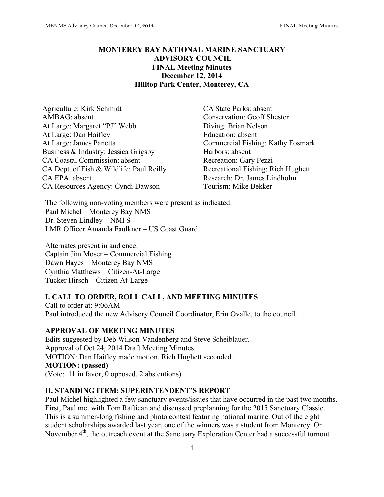# **MONTEREY BAY NATIONAL MARINE SANCTUARY ADVISORY COUNCIL FINAL Meeting Minutes December 12, 2014 Hilltop Park Center, Monterey, CA**

Agriculture: Kirk Schmidt CA State Parks: absent AMBAG: absent Conservation: Geoff Shester At Large: Margaret "PJ" Webb Diving: Brian Nelson At Large: Dan Haifley Education: absent At Large: James Panetta Commercial Fishing: Kathy Fosmark Business & Industry: Jessica Grigsby Harbors: absent CA Coastal Commission: absent Recreation: Gary Pezzi CA Dept. of Fish & Wildlife: Paul Reilly Recreational Fishing: Rich Hughett CA EPA: absent Research: Dr. James Lindholm CA Resources Agency: Cyndi Dawson Tourism: Mike Bekker

The following non-voting members were present as indicated: Paul Michel – Monterey Bay NMS Dr. Steven Lindley – NMFS LMR Officer Amanda Faulkner – US Coast Guard

Alternates present in audience: Captain Jim Moser – Commercial Fishing Dawn Hayes – Monterey Bay NMS Cynthia Matthews – Citizen-At-Large Tucker Hirsch – Citizen-At-Large

## **I. CALL TO ORDER, ROLL CALL, AND MEETING MINUTES**

Call to order at: 9:06AM Paul introduced the new Advisory Council Coordinator, Erin Ovalle, to the council.

#### **APPROVAL OF MEETING MINUTES**

Edits suggested by Deb Wilson-Vandenberg and Steve Scheiblauer. Approval of Oct 24, 2014 Draft Meeting Minutes MOTION: Dan Haifley made motion, Rich Hughett seconded. **MOTION: (passed)** (Vote: 11 in favor, 0 opposed, 2 abstentions)

## **II. STANDING ITEM: SUPERINTENDENT'S REPORT**

Paul Michel highlighted a few sanctuary events/issues that have occurred in the past two months. First, Paul met with Tom Raftican and discussed preplanning for the 2015 Sanctuary Classic. This is a summer-long fishing and photo contest featuring national marine. Out of the eight student scholarships awarded last year, one of the winners was a student from Monterey. On November 4<sup>th</sup>, the outreach event at the Sanctuary Exploration Center had a successful turnout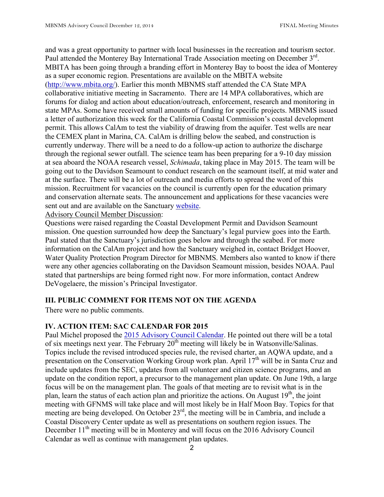and was a great opportunity to partner with local businesses in the recreation and tourism sector. Paul attended the Monterey Bay International Trade Association meeting on December  $3<sup>rd</sup>$ . MBITA has been going through a branding effort in Monterey Bay to boost the idea of Monterey as a super economic region. Presentations are available on the MBITA website (http://www.mbita.org/). Earlier this month MBNMS staff attended the CA State MPA collaborative initiative meeting in Sacramento. There are 14 MPA collaboratives, which are forums for dialog and action about education/outreach, enforcement, research and monitoring in state MPAs. Some have received small amounts of funding for specific projects. MBNMS issued a letter of authorization this week for the California Coastal Commission's coastal development permit. This allows CalAm to test the viability of drawing from the aquifer. Test wells are near the CEMEX plant in Marina, CA. CalAm is drilling below the seabed, and construction is currently underway. There will be a need to do a follow-up action to authorize the discharge through the regional sewer outfall. The science team has been preparing for a 9-10 day mission at sea aboard the NOAA research vessel, *Schimada*, taking place in May 2015. The team will be going out to the Davidson Seamount to conduct research on the seamount itself, at mid water and at the surface. There will be a lot of outreach and media efforts to spread the word of this mission. Recruitment for vacancies on the council is currently open for the education primary and conservation alternate seats. The announcement and applications for these vacancies were sent out and are available on the Sanctuary website.

Advisory Council Member Discussion:

Questions were raised regarding the Coastal Development Permit and Davidson Seamount mission. One question surrounded how deep the Sanctuary's legal purview goes into the Earth. Paul stated that the Sanctuary's jurisdiction goes below and through the seabed. For more information on the CalAm project and how the Sanctuary weighed in, contact Bridget Hoover, Water Quality Protection Program Director for MBNMS. Members also wanted to know if there were any other agencies collaborating on the Davidson Seamount mission, besides NOAA. Paul stated that partnerships are being formed right now. For more information, contact Andrew DeVogelaere, the mission's Principal Investigator.

## **III. PUBLIC COMMENT FOR ITEMS NOT ON THE AGENDA**

There were no public comments.

# **IV. ACTION ITEM: SAC CALENDAR FOR 2015**

Paul Michel proposed the 2015 Advisory Council Calendar. He pointed out there will be a total of six meetings next year. The February  $20<sup>th</sup>$  meeting will likely be in Watsonville/Salinas. Topics include the revised introduced species rule, the revised charter, an AQWA update, and a presentation on the Conservation Working Group work plan. April 17<sup>th</sup> will be in Santa Cruz and include updates from the SEC, updates from all volunteer and citizen science programs, and an update on the condition report, a precursor to the management plan update. On June 19th, a large focus will be on the management plan. The goals of that meeting are to revisit what is in the plan, learn the status of each action plan and prioritize the actions. On August  $19<sup>th</sup>$ , the joint meeting with GFNMS will take place and will most likely be in Half Moon Bay. Topics for that meeting are being developed. On October 23<sup>rd</sup>, the meeting will be in Cambria, and include a Coastal Discovery Center update as well as presentations on southern region issues. The December  $11<sup>th</sup>$  meeting will be in Monterey and will focus on the 2016 Advisory Council Calendar as well as continue with management plan updates.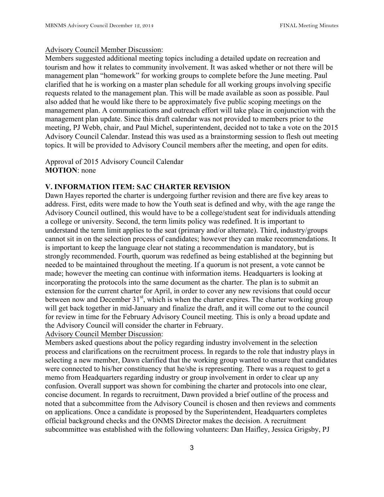### Advisory Council Member Discussion:

Members suggested additional meeting topics including a detailed update on recreation and tourism and how it relates to community involvement. It was asked whether or not there will be management plan "homework" for working groups to complete before the June meeting. Paul clarified that he is working on a master plan schedule for all working groups involving specific requests related to the management plan. This will be made available as soon as possible. Paul also added that he would like there to be approximately five public scoping meetings on the management plan. A communications and outreach effort will take place in conjunction with the management plan update. Since this draft calendar was not provided to members prior to the meeting, PJ Webb, chair, and Paul Michel, superintendent, decided not to take a vote on the 2015 Advisory Council Calendar. Instead this was used as a brainstorming session to flesh out meeting topics. It will be provided to Advisory Council members after the meeting, and open for edits.

## Approval of 2015 Advisory Council Calendar **MOTION**: none

## **V. INFORMATION ITEM: SAC CHARTER REVISION**

Dawn Hayes reported the charter is undergoing further revision and there are five key areas to address. First, edits were made to how the Youth seat is defined and why, with the age range the Advisory Council outlined, this would have to be a college/student seat for individuals attending a college or university. Second, the term limits policy was redefined. It is important to understand the term limit applies to the seat (primary and/or alternate). Third, industry/groups cannot sit in on the selection process of candidates; however they can make recommendations. It is important to keep the language clear not stating a recommendation is mandatory, but is strongly recommended. Fourth, quorum was redefined as being established at the beginning but needed to be maintained throughout the meeting. If a quorum is not present, a vote cannot be made; however the meeting can continue with information items. Headquarters is looking at incorporating the protocols into the same document as the charter. The plan is to submit an extension for the current charter for April, in order to cover any new revisions that could occur between now and December  $31<sup>st</sup>$ , which is when the charter expires. The charter working group will get back together in mid-January and finalize the draft, and it will come out to the council for review in time for the February Advisory Council meeting. This is only a broad update and the Advisory Council will consider the charter in February.

Advisory Council Member Discussion:

Members asked questions about the policy regarding industry involvement in the selection process and clarifications on the recruitment process. In regards to the role that industry plays in selecting a new member, Dawn clarified that the working group wanted to ensure that candidates were connected to his/her constituency that he/she is representing. There was a request to get a memo from Headquarters regarding industry or group involvement in order to clear up any confusion. Overall support was shown for combining the charter and protocols into one clear, concise document. In regards to recruitment, Dawn provided a brief outline of the process and noted that a subcommittee from the Advisory Council is chosen and then reviews and comments on applications. Once a candidate is proposed by the Superintendent, Headquarters completes official background checks and the ONMS Director makes the decision. A recruitment subcommittee was established with the following volunteers: Dan Haifley, Jessica Grigsby, PJ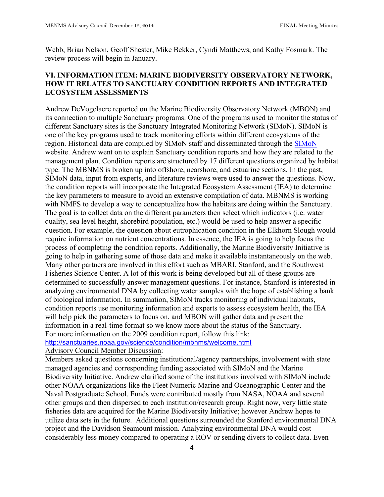Webb, Brian Nelson, Geoff Shester, Mike Bekker, Cyndi Matthews, and Kathy Fosmark. The review process will begin in January.

# **VI. INFORMATION ITEM: MARINE BIODIVERSITY OBSERVATORY NETWORK, HOW IT RELATES TO SANCTUARY CONDITION REPORTS AND INTEGRATED ECOSYSTEM ASSESSMENTS**

Andrew DeVogelaere reported on the Marine Biodiversity Observatory Network (MBON) and its connection to multiple Sanctuary programs. One of the programs used to monitor the status of different Sanctuary sites is the Sanctuary Integrated Monitoring Network (SIMoN). SIMoN is one of the key programs used to track monitoring efforts within different ecosystems of the region. Historical data are compiled by SIMoN staff and disseminated through the SIMoN website. Andrew went on to explain Sanctuary condition reports and how they are related to the management plan. Condition reports are structured by 17 different questions organized by habitat type. The MBNMS is broken up into offshore, nearshore, and estuarine sections. In the past, SIMoN data, input from experts, and literature reviews were used to answer the questions. Now, the condition reports will incorporate the Integrated Ecosystem Assessment (IEA) to determine the key parameters to measure to avoid an extensive compilation of data. MBNMS is working with NMFS to develop a way to conceptualize how the habitats are doing within the Sanctuary. The goal is to collect data on the different parameters then select which indicators (i.e. water quality, sea level height, shorebird population, etc.) would be used to help answer a specific question. For example, the question about eutrophication condition in the Elkhorn Slough would require information on nutrient concentrations. In essence, the IEA is going to help focus the process of completing the condition reports. Additionally, the Marine Biodiversity Initiative is going to help in gathering some of those data and make it available instantaneously on the web. Many other partners are involved in this effort such as MBARI, Stanford, and the Southwest Fisheries Science Center. A lot of this work is being developed but all of these groups are determined to successfully answer management questions. For instance, Stanford is interested in analyzing environmental DNA by collecting water samples with the hope of establishing a bank of biological information. In summation, SIMoN tracks monitoring of individual habitats, condition reports use monitoring information and experts to assess ecosystem health, the IEA will help pick the parameters to focus on, and MBON will gather data and present the information in a real-time format so we know more about the status of the Sanctuary. For more information on the 2009 condition report, follow this link: http://sanctuaries.noaa.gov/science/condition/mbnms/welcome.html Advisory Council Member Discussion:

Members asked questions concerning institutional/agency partnerships, involvement with state managed agencies and corresponding funding associated with SIMoN and the Marine Biodiversity Initiative. Andrew clarified some of the institutions involved with SIMoN include other NOAA organizations like the Fleet Numeric Marine and Oceanographic Center and the Naval Postgraduate School. Funds were contributed mostly from NASA, NOAA and several other groups and then dispersed to each institution/research group. Right now, very little state fisheries data are acquired for the Marine Biodiversity Initiative; however Andrew hopes to utilize data sets in the future. Additional questions surrounded the Stanford environmental DNA project and the Davidson Seamount mission. Analyzing environmental DNA would cost considerably less money compared to operating a ROV or sending divers to collect data. Even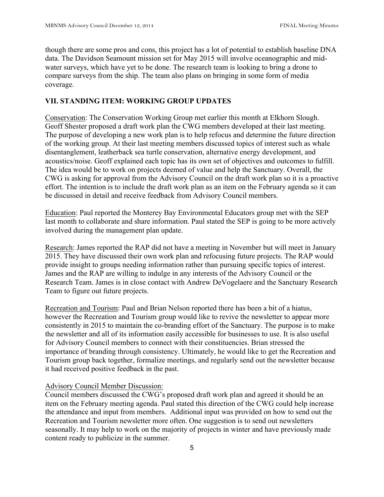though there are some pros and cons, this project has a lot of potential to establish baseline DNA data. The Davidson Seamount mission set for May 2015 will involve oceanographic and midwater surveys, which have yet to be done. The research team is looking to bring a drone to compare surveys from the ship. The team also plans on bringing in some form of media coverage.

## **VII. STANDING ITEM: WORKING GROUP UPDATES**

Conservation: The Conservation Working Group met earlier this month at Elkhorn Slough. Geoff Shester proposed a draft work plan the CWG members developed at their last meeting. The purpose of developing a new work plan is to help refocus and determine the future direction of the working group. At their last meeting members discussed topics of interest such as whale disentanglement, leatherback sea turtle conservation, alternative energy development, and acoustics/noise. Geoff explained each topic has its own set of objectives and outcomes to fulfill. The idea would be to work on projects deemed of value and help the Sanctuary. Overall, the CWG is asking for approval from the Advisory Council on the draft work plan so it is a proactive effort. The intention is to include the draft work plan as an item on the February agenda so it can be discussed in detail and receive feedback from Advisory Council members.

Education: Paul reported the Monterey Bay Environmental Educators group met with the SEP last month to collaborate and share information. Paul stated the SEP is going to be more actively involved during the management plan update.

Research: James reported the RAP did not have a meeting in November but will meet in January 2015. They have discussed their own work plan and refocusing future projects. The RAP would provide insight to groups needing information rather than pursuing specific topics of interest. James and the RAP are willing to indulge in any interests of the Advisory Council or the Research Team. James is in close contact with Andrew DeVogelaere and the Sanctuary Research Team to figure out future projects.

Recreation and Tourism: Paul and Brian Nelson reported there has been a bit of a hiatus, however the Recreation and Tourism group would like to revive the newsletter to appear more consistently in 2015 to maintain the co-branding effort of the Sanctuary. The purpose is to make the newsletter and all of its information easily accessible for businesses to use. It is also useful for Advisory Council members to connect with their constituencies. Brian stressed the importance of branding through consistency. Ultimately, he would like to get the Recreation and Tourism group back together, formalize meetings, and regularly send out the newsletter because it had received positive feedback in the past.

## Advisory Council Member Discussion:

Council members discussed the CWG's proposed draft work plan and agreed it should be an item on the February meeting agenda. Paul stated this direction of the CWG could help increase the attendance and input from members. Additional input was provided on how to send out the Recreation and Tourism newsletter more often. One suggestion is to send out newsletters seasonally. It may help to work on the majority of projects in winter and have previously made content ready to publicize in the summer.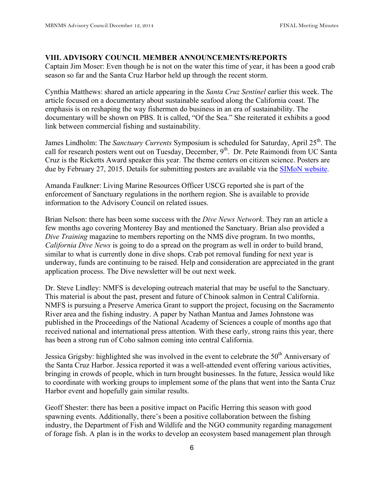#### **VIII. ADVISORY COUNCIL MEMBER ANNOUNCEMENTS/REPORTS**

Captain Jim Moser: Even though he is not on the water this time of year, it has been a good crab season so far and the Santa Cruz Harbor held up through the recent storm.

Cynthia Matthews: shared an article appearing in the *Santa Cruz Sentinel* earlier this week. The article focused on a documentary about sustainable seafood along the California coast. The emphasis is on reshaping the way fishermen do business in an era of sustainability. The documentary will be shown on PBS. It is called, "Of the Sea." She reiterated it exhibits a good link between commercial fishing and sustainability.

James Lindholm: The *Sanctuary Currents* Symposium is scheduled for Saturday, April 25<sup>th</sup>. The call for research posters went out on Tuesday, December, 9<sup>th</sup>. Dr. Pete Raimondi from UC Santa Cruz is the Ricketts Award speaker this year. The theme centers on citizen science. Posters are due by February 27, 2015. Details for submitting posters are available via the SIMoN website.

Amanda Faulkner: Living Marine Resources Officer USCG reported she is part of the enforcement of Sanctuary regulations in the northern region. She is available to provide information to the Advisory Council on related issues.

Brian Nelson: there has been some success with the *Dive News Network*. They ran an article a few months ago covering Monterey Bay and mentioned the Sanctuary. Brian also provided a *Dive Training* magazine to members reporting on the NMS dive program. In two months, *California Dive News* is going to do a spread on the program as well in order to build brand, similar to what is currently done in dive shops. Crab pot removal funding for next year is underway, funds are continuing to be raised. Help and consideration are appreciated in the grant application process. The Dive newsletter will be out next week.

Dr. Steve Lindley: NMFS is developing outreach material that may be useful to the Sanctuary. This material is about the past, present and future of Chinook salmon in Central California. NMFS is pursuing a Preserve America Grant to support the project, focusing on the Sacramento River area and the fishing industry. A paper by Nathan Mantua and James Johnstone was published in the Proceedings of the National Academy of Sciences a couple of months ago that received national and international press attention. With these early, strong rains this year, there has been a strong run of Coho salmon coming into central California.

Jessica Grigsby: highlighted she was involved in the event to celebrate the 50<sup>th</sup> Anniversary of the Santa Cruz Harbor. Jessica reported it was a well-attended event offering various activities, bringing in crowds of people, which in turn brought businesses. In the future, Jessica would like to coordinate with working groups to implement some of the plans that went into the Santa Cruz Harbor event and hopefully gain similar results.

Geoff Shester: there has been a positive impact on Pacific Herring this season with good spawning events. Additionally, there's been a positive collaboration between the fishing industry, the Department of Fish and Wildlife and the NGO community regarding management of forage fish. A plan is in the works to develop an ecosystem based management plan through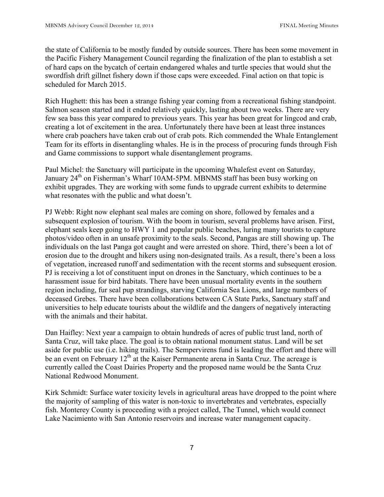the state of California to be mostly funded by outside sources. There has been some movement in the Pacific Fishery Management Council regarding the finalization of the plan to establish a set of hard caps on the bycatch of certain endangered whales and turtle species that would shut the swordfish drift gillnet fishery down if those caps were exceeded. Final action on that topic is scheduled for March 2015.

Rich Hughett: this has been a strange fishing year coming from a recreational fishing standpoint. Salmon season started and it ended relatively quickly, lasting about two weeks. There are very few sea bass this year compared to previous years. This year has been great for lingcod and crab, creating a lot of excitement in the area. Unfortunately there have been at least three instances where crab poachers have taken crab out of crab pots. Rich commended the Whale Entanglement Team for its efforts in disentangling whales. He is in the process of procuring funds through Fish and Game commissions to support whale disentanglement programs.

Paul Michel: the Sanctuary will participate in the upcoming Whalefest event on Saturday, January 24<sup>th</sup> on Fisherman's Wharf 10AM-5PM. MBNMS staff has been busy working on exhibit upgrades. They are working with some funds to upgrade current exhibits to determine what resonates with the public and what doesn't.

PJ Webb: Right now elephant seal males are coming on shore, followed by females and a subsequent explosion of tourism. With the boom in tourism, several problems have arisen. First, elephant seals keep going to HWY 1 and popular public beaches, luring many tourists to capture photos/video often in an unsafe proximity to the seals. Second, Pangas are still showing up. The individuals on the last Panga got caught and were arrested on shore. Third, there's been a lot of erosion due to the drought and hikers using non-designated trails. As a result, there's been a loss of vegetation, increased runoff and sedimentation with the recent storms and subsequent erosion. PJ is receiving a lot of constituent input on drones in the Sanctuary, which continues to be a harassment issue for bird habitats. There have been unusual mortality events in the southern region including, fur seal pup strandings, starving California Sea Lions, and large numbers of deceased Grebes. There have been collaborations between CA State Parks, Sanctuary staff and universities to help educate tourists about the wildlife and the dangers of negatively interacting with the animals and their habitat.

Dan Haifley: Next year a campaign to obtain hundreds of acres of public trust land, north of Santa Cruz, will take place. The goal is to obtain national monument status. Land will be set aside for public use (i.e. hiking trails). The Sempervirens fund is leading the effort and there will be an event on February  $12<sup>th</sup>$  at the Kaiser Permanente arena in Santa Cruz. The acreage is currently called the Coast Dairies Property and the proposed name would be the Santa Cruz National Redwood Monument.

Kirk Schmidt: Surface water toxicity levels in agricultural areas have dropped to the point where the majority of sampling of this water is non-toxic to invertebrates and vertebrates, especially fish. Monterey County is proceeding with a project called, The Tunnel, which would connect Lake Nacimiento with San Antonio reservoirs and increase water management capacity.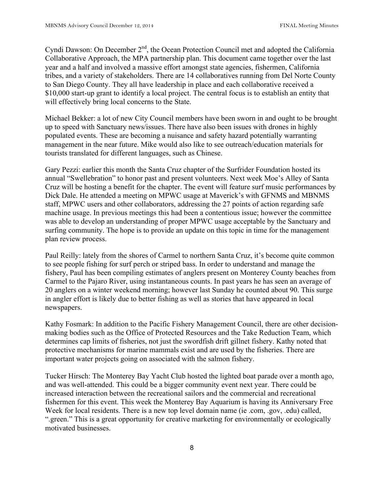Cyndi Dawson: On December 2<sup>nd</sup>, the Ocean Protection Council met and adopted the California Collaborative Approach, the MPA partnership plan. This document came together over the last year and a half and involved a massive effort amongst state agencies, fishermen, California tribes, and a variety of stakeholders. There are 14 collaboratives running from Del Norte County to San Diego County. They all have leadership in place and each collaborative received a \$10,000 start-up grant to identify a local project. The central focus is to establish an entity that will effectively bring local concerns to the State.

Michael Bekker: a lot of new City Council members have been sworn in and ought to be brought up to speed with Sanctuary news/issues. There have also been issues with drones in highly populated events. These are becoming a nuisance and safety hazard potentially warranting management in the near future. Mike would also like to see outreach/education materials for tourists translated for different languages, such as Chinese.

Gary Pezzi: earlier this month the Santa Cruz chapter of the Surfrider Foundation hosted its annual "Swellebration" to honor past and present volunteers. Next week Moe's Alley of Santa Cruz will be hosting a benefit for the chapter. The event will feature surf music performances by Dick Dale. He attended a meeting on MPWC usage at Maverick's with GFNMS and MBNMS staff, MPWC users and other collaborators, addressing the 27 points of action regarding safe machine usage. In previous meetings this had been a contentious issue; however the committee was able to develop an understanding of proper MPWC usage acceptable by the Sanctuary and surfing community. The hope is to provide an update on this topic in time for the management plan review process.

Paul Reilly: lately from the shores of Carmel to northern Santa Cruz, it's become quite common to see people fishing for surf perch or striped bass. In order to understand and manage the fishery, Paul has been compiling estimates of anglers present on Monterey County beaches from Carmel to the Pajaro River, using instantaneous counts. In past years he has seen an average of 20 anglers on a winter weekend morning; however last Sunday he counted about 90. This surge in angler effort is likely due to better fishing as well as stories that have appeared in local newspapers.

Kathy Fosmark: In addition to the Pacific Fishery Management Council, there are other decisionmaking bodies such as the Office of Protected Resources and the Take Reduction Team, which determines cap limits of fisheries, not just the swordfish drift gillnet fishery. Kathy noted that protective mechanisms for marine mammals exist and are used by the fisheries. There are important water projects going on associated with the salmon fishery.

Tucker Hirsch: The Monterey Bay Yacht Club hosted the lighted boat parade over a month ago, and was well-attended. This could be a bigger community event next year. There could be increased interaction between the recreational sailors and the commercial and recreational fishermen for this event. This week the Monterey Bay Aquarium is having its Anniversary Free Week for local residents. There is a new top level domain name (ie .com, .gov, .edu) called, ".green." This is a great opportunity for creative marketing for environmentally or ecologically motivated businesses.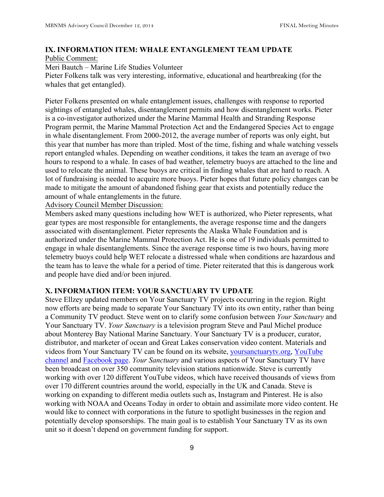# **IX. INFORMATION ITEM: WHALE ENTANGLEMENT TEAM UPDATE**

Public Comment:

Meri Bautch – Marine Life Studies Volunteer

Pieter Folkens talk was very interesting, informative, educational and heartbreaking (for the whales that get entangled).

Pieter Folkens presented on whale entanglement issues, challenges with response to reported sightings of entangled whales, disentanglement permits and how disentanglement works. Pieter is a co-investigator authorized under the Marine Mammal Health and Stranding Response Program permit, the Marine Mammal Protection Act and the Endangered Species Act to engage in whale disentanglement. From 2000-2012, the average number of reports was only eight, but this year that number has more than tripled. Most of the time, fishing and whale watching vessels report entangled whales. Depending on weather conditions, it takes the team an average of two hours to respond to a whale. In cases of bad weather, telemetry buoys are attached to the line and used to relocate the animal. These buoys are critical in finding whales that are hard to reach. A lot of fundraising is needed to acquire more buoys. Pieter hopes that future policy changes can be made to mitigate the amount of abandoned fishing gear that exists and potentially reduce the amount of whale entanglements in the future.

Advisory Council Member Discussion:

Members asked many questions including how WET is authorized, who Pieter represents, what gear types are most responsible for entanglements, the average response time and the dangers associated with disentanglement. Pieter represents the Alaska Whale Foundation and is authorized under the Marine Mammal Protection Act. He is one of 19 individuals permitted to engage in whale disentanglements. Since the average response time is two hours, having more telemetry buoys could help WET relocate a distressed whale when conditions are hazardous and the team has to leave the whale for a period of time. Pieter reiterated that this is dangerous work and people have died and/or been injured.

### **X. INFORMATION ITEM: YOUR SANCTUARY TV UPDATE**

Steve Ellzey updated members on Your Sanctuary TV projects occurring in the region. Right now efforts are being made to separate Your Sanctuary TV into its own entity, rather than being a Community TV product. Steve went on to clarify some confusion between *Your Sanctuary* and Your Sanctuary TV. *Your Sanctuary* is a television program Steve and Paul Michel produce about Monterey Bay National Marine Sanctuary. Your Sanctuary TV is a producer, curator, distributor, and marketer of ocean and Great Lakes conservation video content. Materials and videos from Your Sanctuary TV can be found on its website, yoursanctuarytv.org, YouTube channel and Facebook page. *Your Sanctuary* and various aspects of Your Sanctuary TV have been broadcast on over 350 community television stations nationwide. Steve is currently working with over 120 different YouTube videos, which have received thousands of views from over 170 different countries around the world, especially in the UK and Canada. Steve is working on expanding to different media outlets such as, Instagram and Pinterest. He is also working with NOAA and Oceans Today in order to obtain and assimilate more video content. He would like to connect with corporations in the future to spotlight businesses in the region and potentially develop sponsorships. The main goal is to establish Your Sanctuary TV as its own unit so it doesn't depend on government funding for support.